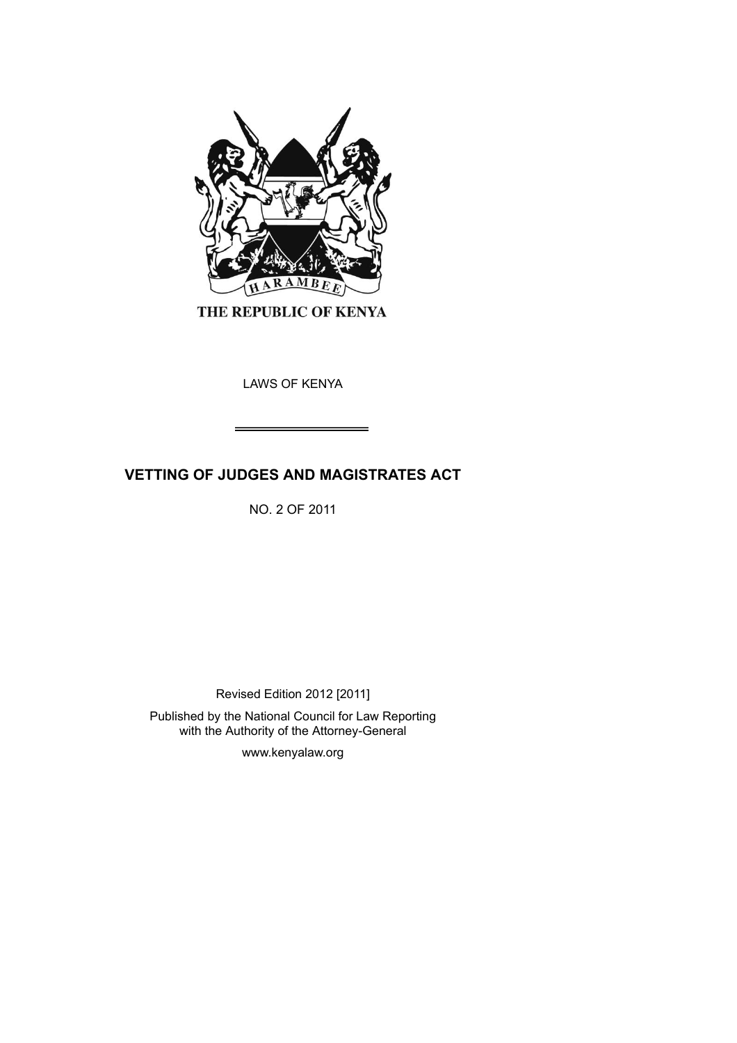

THE REPUBLIC OF KENYA

LAWS OF KENYA

# **VETTING OF JUDGES AND MAGISTRATES ACT**

NO. 2 OF 2011

Revised Edition 2012 [2011]

Published by the National Council for Law Reporting with the Authority of the Attorney-General

www.kenyalaw.org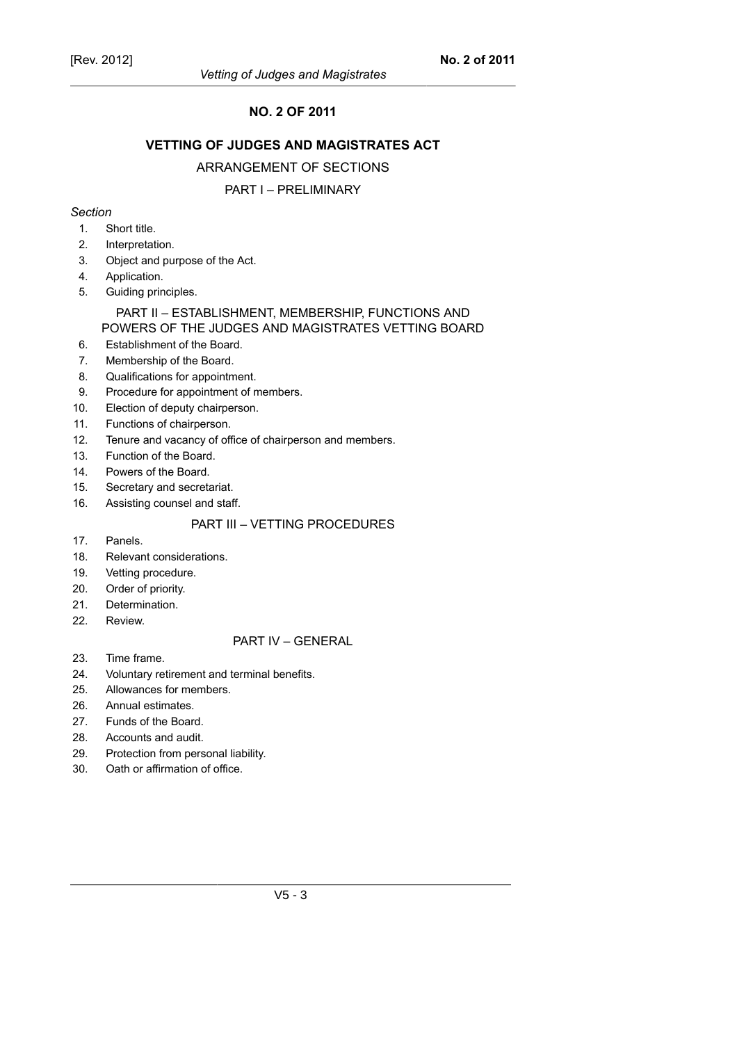# **NO. 2 OF 2011**

## **VETTING OF JUDGES AND MAGISTRATES ACT**

#### ARRANGEMENT OF SECTIONS

## PART I – PRELIMINARY

#### *Section*

- 1. Short title.
- 2. Interpretation.
- 3. Object and purpose of the Act.
- 4. Application.
- 5. Guiding principles.

# PART II – ESTABLISHMENT, MEMBERSHIP, FUNCTIONS AND POWERS OF THE JUDGES AND MAGISTRATES VETTING BOARD

- 6. Establishment of the Board.
- 7. Membership of the Board.
- 8. Qualifications for appointment.
- 9. Procedure for appointment of members.
- 10. Election of deputy chairperson.
- 11. Functions of chairperson.
- 12. Tenure and vacancy of office of chairperson and members.
- 13. Function of the Board.
- 14. Powers of the Board.
- 15. Secretary and secretariat.
- 16. Assisting counsel and staff.

## PART III – VETTING PROCEDURES

- 17. Panels.
- 18. Relevant considerations.
- 19. Vetting procedure.
- 20. Order of priority.
- 21. Determination.
- 22. Review.

#### PART IV – GENERAL

- 23. Time frame.
- 24. Voluntary retirement and terminal benefits.
- 25. Allowances for members.
- 26. Annual estimates.
- 27. Funds of the Board.
- 28. Accounts and audit.
- 29. Protection from personal liability.
- 30. Oath or affirmation of office.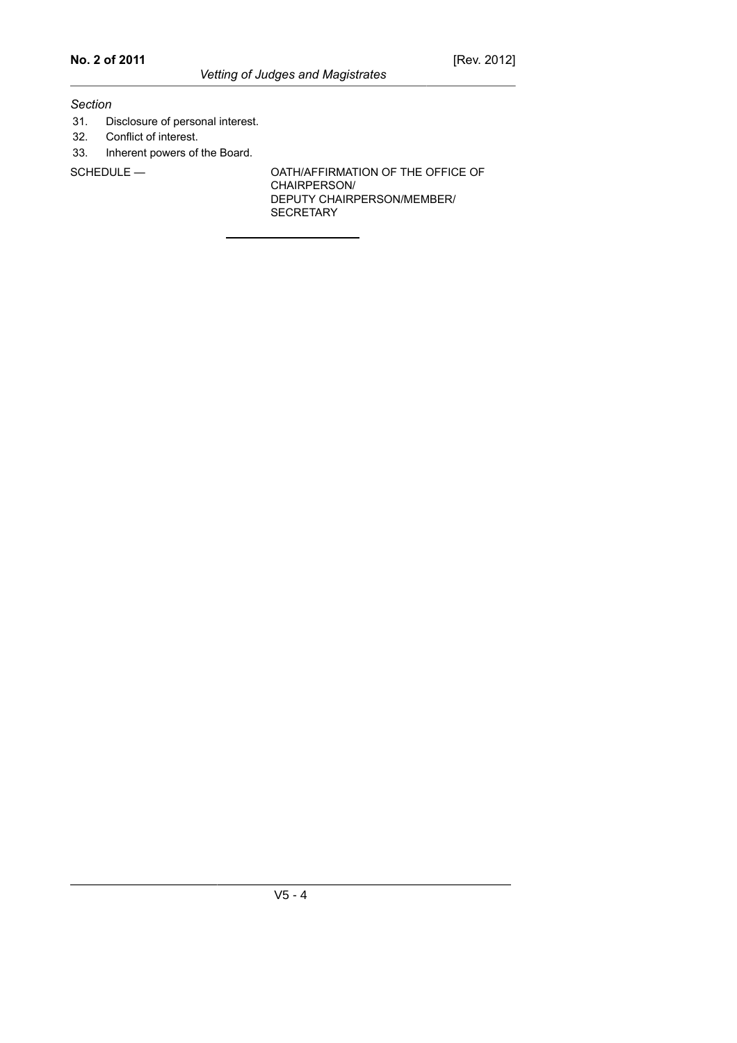#### *Section*

- 31. Disclosure of personal interest.
- 32. Conflict of interest.
- 33. Inherent powers of the Board.

SCHEDULE — OATH/AFFIRMATION OF THE OFFICE OF CHAIRPERSON/ DEPUTY CHAIRPERSON/MEMBER/ **SECRETARY**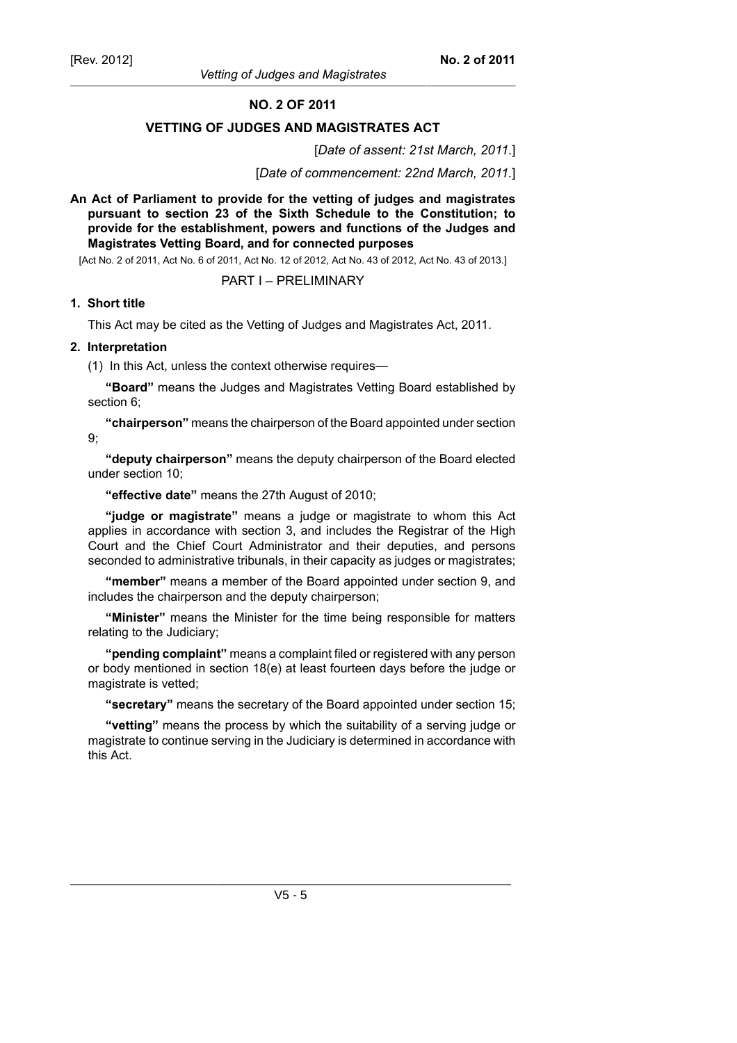**NO. 2 OF 2011**

## **VETTING OF JUDGES AND MAGISTRATES ACT**

[*Date of assent: 21st March, 2011.*]

[*Date of commencement: 22nd March, 2011.*]

**An Act of Parliament to provide for the vetting of judges and magistrates pursuant to section 23 of the Sixth Schedule to the Constitution; to provide for the establishment, powers and functions of the Judges and Magistrates Vetting Board, and for connected purposes**

[Act No. 2 of 2011, Act No. 6 of 2011, Act No. 12 of 2012, Act No. 43 of 2012, Act No. 43 of 2013.]

## PART I – PRELIMINARY

#### **1. Short title**

This Act may be cited as the Vetting of Judges and Magistrates Act, 2011.

## **2. Interpretation**

(1) In this Act, unless the context otherwise requires—

**"Board"** means the Judges and Magistrates Vetting Board established by section 6;

**"chairperson"** means the chairperson of the Board appointed under section 9;

**"deputy chairperson"** means the deputy chairperson of the Board elected under section 10;

**"effective date"** means the 27th August of 2010;

**"judge or magistrate"** means a judge or magistrate to whom this Act applies in accordance with section 3, and includes the Registrar of the High Court and the Chief Court Administrator and their deputies, and persons seconded to administrative tribunals, in their capacity as judges or magistrates;

**"member"** means a member of the Board appointed under section 9, and includes the chairperson and the deputy chairperson;

**"Minister"** means the Minister for the time being responsible for matters relating to the Judiciary;

**"pending complaint"** means a complaint filed or registered with any person or body mentioned in section 18(e) at least fourteen days before the judge or magistrate is vetted;

**"secretary"** means the secretary of the Board appointed under section 15;

**"vetting"** means the process by which the suitability of a serving judge or magistrate to continue serving in the Judiciary is determined in accordance with this Act.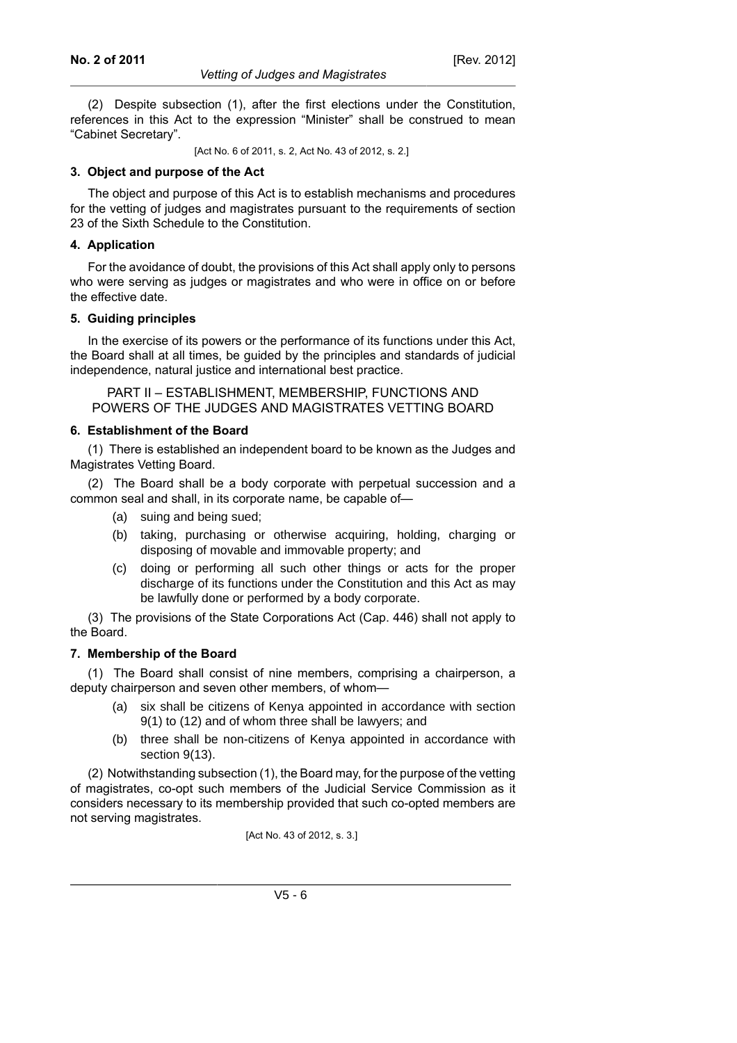(2) Despite subsection (1), after the first elections under the Constitution, references in this Act to the expression "Minister" shall be construed to mean "Cabinet Secretary".

[Act No. 6 of 2011, s. 2, Act No. 43 of 2012, s. 2.]

#### **3. Object and purpose of the Act**

The object and purpose of this Act is to establish mechanisms and procedures for the vetting of judges and magistrates pursuant to the requirements of section 23 of the Sixth Schedule to the Constitution.

#### **4. Application**

For the avoidance of doubt, the provisions of this Act shall apply only to persons who were serving as judges or magistrates and who were in office on or before the effective date.

#### **5. Guiding principles**

In the exercise of its powers or the performance of its functions under this Act, the Board shall at all times, be guided by the principles and standards of judicial independence, natural justice and international best practice.

PART II – ESTABLISHMENT, MEMBERSHIP, FUNCTIONS AND POWERS OF THE JUDGES AND MAGISTRATES VETTING BOARD

#### **6. Establishment of the Board**

(1) There is established an independent board to be known as the Judges and Magistrates Vetting Board.

(2) The Board shall be a body corporate with perpetual succession and a common seal and shall, in its corporate name, be capable of—

- (a) suing and being sued;
- (b) taking, purchasing or otherwise acquiring, holding, charging or disposing of movable and immovable property; and
- (c) doing or performing all such other things or acts for the proper discharge of its functions under the Constitution and this Act as may be lawfully done or performed by a body corporate.

(3) The provisions of the State Corporations Act (Cap. 446) shall not apply to the Board.

## **7. Membership of the Board**

(1) The Board shall consist of nine members, comprising a chairperson, a deputy chairperson and seven other members, of whom—

- (a) six shall be citizens of Kenya appointed in accordance with section 9(1) to (12) and of whom three shall be lawyers; and
- (b) three shall be non-citizens of Kenya appointed in accordance with section 9(13).

(2) Notwithstanding subsection (1), the Board may, for the purpose of the vetting of magistrates, co-opt such members of the Judicial Service Commission as it considers necessary to its membership provided that such co-opted members are not serving magistrates.

[Act No. 43 of 2012, s. 3.]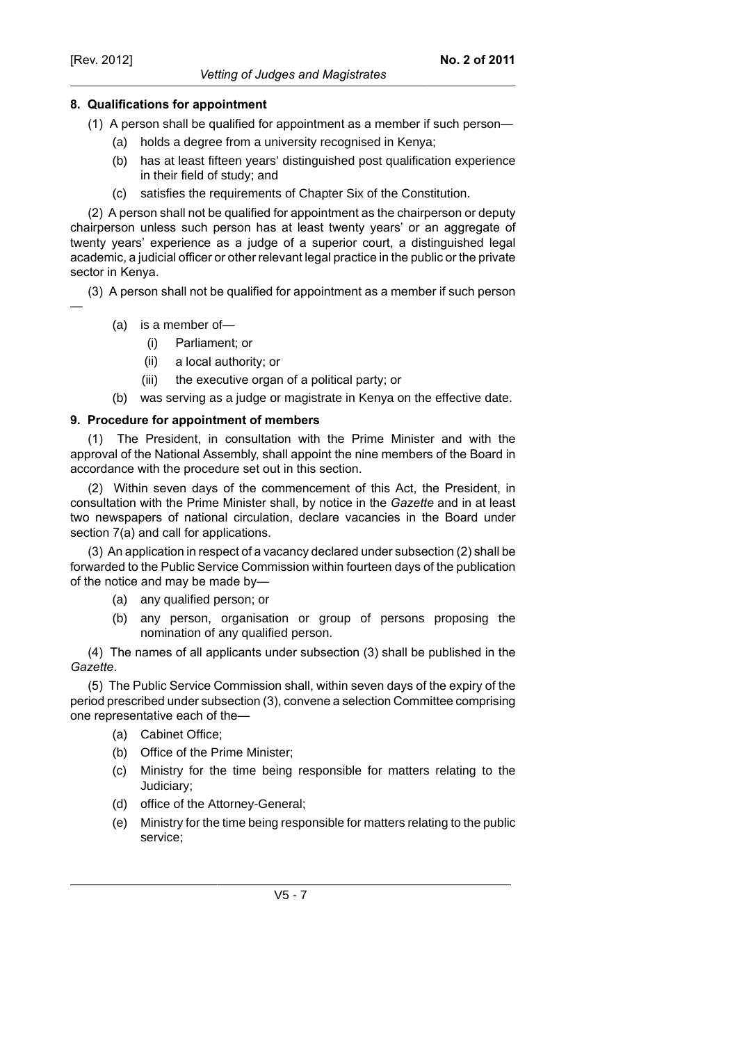## **8. Qualifications for appointment**

- (1) A person shall be qualified for appointment as a member if such person—
	- (a) holds a degree from a university recognised in Kenya;
	- (b) has at least fifteen years' distinguished post qualification experience in their field of study; and
	- (c) satisfies the requirements of Chapter Six of the Constitution.

(2) A person shall not be qualified for appointment as the chairperson or deputy chairperson unless such person has at least twenty years' or an aggregate of twenty years' experience as a judge of a superior court, a distinguished legal academic, a judicial officer or other relevant legal practice in the public or the private sector in Kenya.

(3) A person shall not be qualified for appointment as a member if such person —

- (a) is a member of—
	- (i) Parliament; or
	- (ii) a local authority; or
	- (iii) the executive organ of a political party; or
- (b) was serving as a judge or magistrate in Kenya on the effective date.

#### **9. Procedure for appointment of members**

(1) The President, in consultation with the Prime Minister and with the approval of the National Assembly, shall appoint the nine members of the Board in accordance with the procedure set out in this section.

(2) Within seven days of the commencement of this Act, the President, in consultation with the Prime Minister shall, by notice in the *Gazette* and in at least two newspapers of national circulation, declare vacancies in the Board under section 7(a) and call for applications.

(3) An application in respect of a vacancy declared under subsection (2) shall be forwarded to the Public Service Commission within fourteen days of the publication of the notice and may be made by—

- (a) any qualified person; or
- (b) any person, organisation or group of persons proposing the nomination of any qualified person.

(4) The names of all applicants under subsection (3) shall be published in the *Gazette*.

(5) The Public Service Commission shall, within seven days of the expiry of the period prescribed under subsection (3), convene a selection Committee comprising one representative each of the—

- (a) Cabinet Office;
- (b) Office of the Prime Minister;
- (c) Ministry for the time being responsible for matters relating to the Judiciary;
- (d) office of the Attorney-General;
- (e) Ministry for the time being responsible for matters relating to the public service;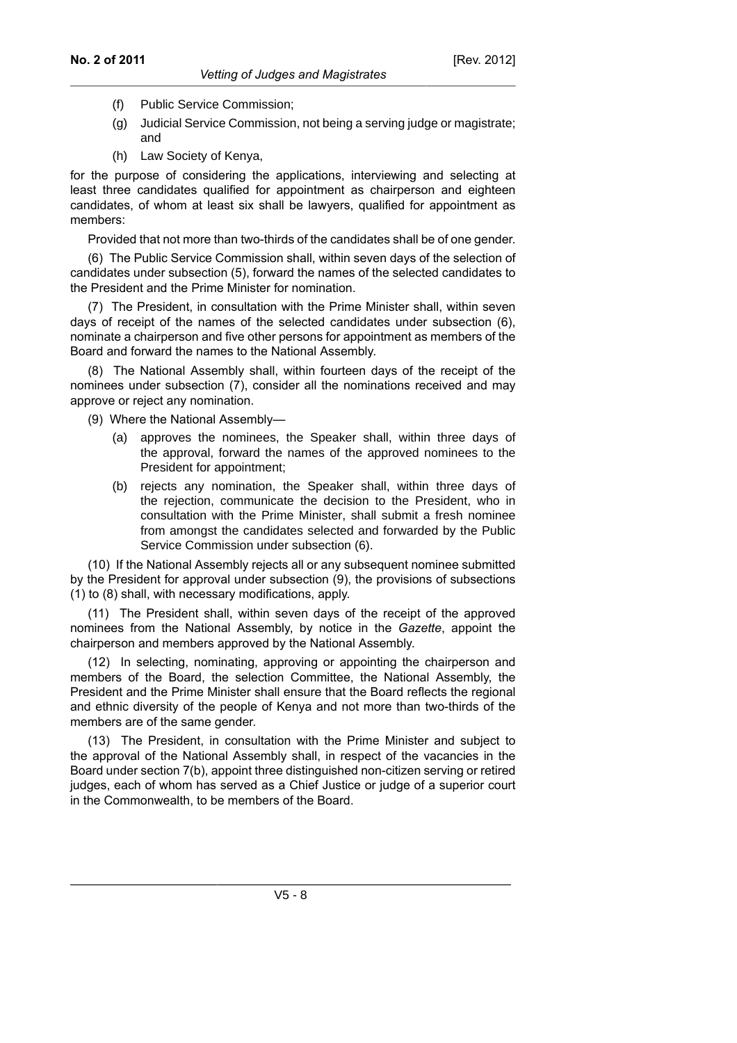- (f) Public Service Commission;
- (g) Judicial Service Commission, not being a serving judge or magistrate; and
- (h) Law Society of Kenya,

for the purpose of considering the applications, interviewing and selecting at least three candidates qualified for appointment as chairperson and eighteen candidates, of whom at least six shall be lawyers, qualified for appointment as members:

Provided that not more than two-thirds of the candidates shall be of one gender.

(6) The Public Service Commission shall, within seven days of the selection of candidates under subsection (5), forward the names of the selected candidates to the President and the Prime Minister for nomination.

(7) The President, in consultation with the Prime Minister shall, within seven days of receipt of the names of the selected candidates under subsection (6), nominate a chairperson and five other persons for appointment as members of the Board and forward the names to the National Assembly.

(8) The National Assembly shall, within fourteen days of the receipt of the nominees under subsection (7), consider all the nominations received and may approve or reject any nomination.

(9) Where the National Assembly—

- (a) approves the nominees, the Speaker shall, within three days of the approval, forward the names of the approved nominees to the President for appointment;
- (b) rejects any nomination, the Speaker shall, within three days of the rejection, communicate the decision to the President, who in consultation with the Prime Minister, shall submit a fresh nominee from amongst the candidates selected and forwarded by the Public Service Commission under subsection (6).

(10) If the National Assembly rejects all or any subsequent nominee submitted by the President for approval under subsection (9), the provisions of subsections (1) to (8) shall, with necessary modifications, apply.

(11) The President shall, within seven days of the receipt of the approved nominees from the National Assembly, by notice in the *Gazette*, appoint the chairperson and members approved by the National Assembly.

(12) In selecting, nominating, approving or appointing the chairperson and members of the Board, the selection Committee, the National Assembly, the President and the Prime Minister shall ensure that the Board reflects the regional and ethnic diversity of the people of Kenya and not more than two-thirds of the members are of the same gender.

(13) The President, in consultation with the Prime Minister and subject to the approval of the National Assembly shall, in respect of the vacancies in the Board under section 7(b), appoint three distinguished non-citizen serving or retired judges, each of whom has served as a Chief Justice or judge of a superior court in the Commonwealth, to be members of the Board.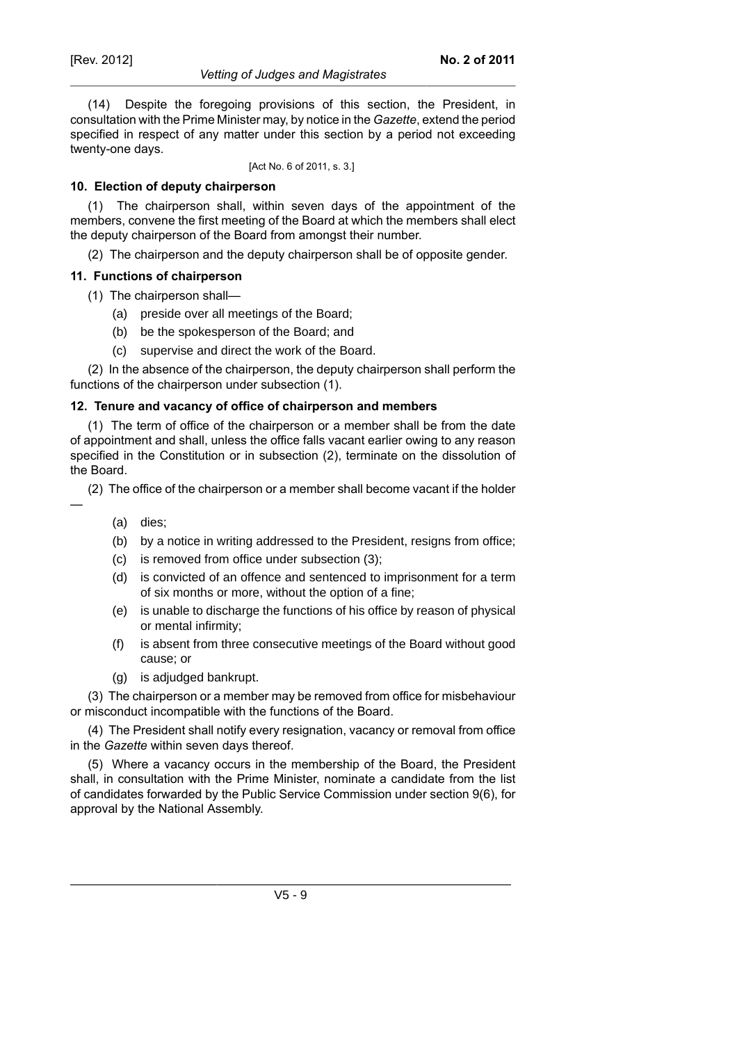#### *Vetting of Judges and Magistrates*

(14) Despite the foregoing provisions of this section, the President, in consultation with the Prime Minister may, by notice in the *Gazette*, extend the period specified in respect of any matter under this section by a period not exceeding twenty-one days.

[Act No. 6 of 2011, s. 3.]

## **10. Election of deputy chairperson**

(1) The chairperson shall, within seven days of the appointment of the members, convene the first meeting of the Board at which the members shall elect the deputy chairperson of the Board from amongst their number.

(2) The chairperson and the deputy chairperson shall be of opposite gender.

## **11. Functions of chairperson**

- (1) The chairperson shall—
	- (a) preside over all meetings of the Board;
	- (b) be the spokesperson of the Board; and
	- (c) supervise and direct the work of the Board.

(2) In the absence of the chairperson, the deputy chairperson shall perform the functions of the chairperson under subsection (1).

## **12. Tenure and vacancy of office of chairperson and members**

(1) The term of office of the chairperson or a member shall be from the date of appointment and shall, unless the office falls vacant earlier owing to any reason specified in the Constitution or in subsection (2), terminate on the dissolution of the Board.

(2) The office of the chairperson or a member shall become vacant if the holder

—

- (a) dies;
- (b) by a notice in writing addressed to the President, resigns from office;
- (c) is removed from office under subsection (3);
- (d) is convicted of an offence and sentenced to imprisonment for a term of six months or more, without the option of a fine;
- (e) is unable to discharge the functions of his office by reason of physical or mental infirmity;
- (f) is absent from three consecutive meetings of the Board without good cause; or
- (g) is adjudged bankrupt.

(3) The chairperson or a member may be removed from office for misbehaviour or misconduct incompatible with the functions of the Board.

(4) The President shall notify every resignation, vacancy or removal from office in the *Gazette* within seven days thereof.

(5) Where a vacancy occurs in the membership of the Board, the President shall, in consultation with the Prime Minister, nominate a candidate from the list of candidates forwarded by the Public Service Commission under section 9(6), for approval by the National Assembly.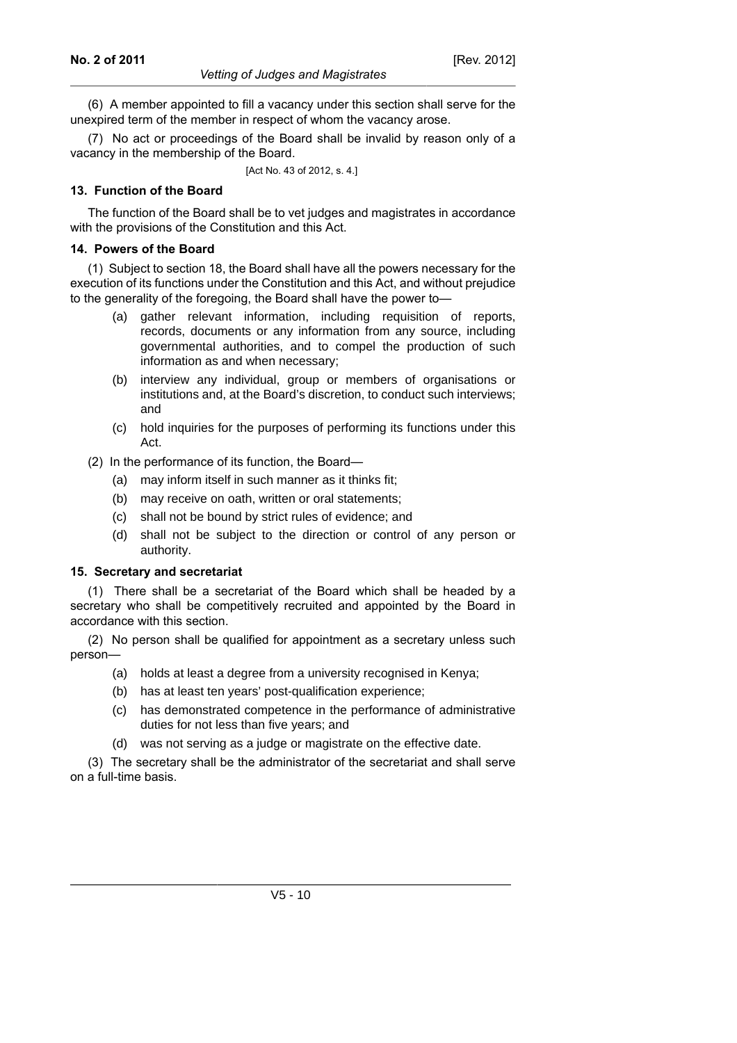(6) A member appointed to fill a vacancy under this section shall serve for the unexpired term of the member in respect of whom the vacancy arose.

(7) No act or proceedings of the Board shall be invalid by reason only of a vacancy in the membership of the Board.

[Act No. 43 of 2012, s. 4.]

#### **13. Function of the Board**

The function of the Board shall be to vet judges and magistrates in accordance with the provisions of the Constitution and this Act.

#### **14. Powers of the Board**

(1) Subject to section 18, the Board shall have all the powers necessary for the execution of its functions under the Constitution and this Act, and without prejudice to the generality of the foregoing, the Board shall have the power to—

- (a) gather relevant information, including requisition of reports, records, documents or any information from any source, including governmental authorities, and to compel the production of such information as and when necessary;
- (b) interview any individual, group or members of organisations or institutions and, at the Board's discretion, to conduct such interviews; and
- (c) hold inquiries for the purposes of performing its functions under this Act.
- (2) In the performance of its function, the Board—
	- (a) may inform itself in such manner as it thinks fit;
	- (b) may receive on oath, written or oral statements;
	- (c) shall not be bound by strict rules of evidence; and
	- (d) shall not be subject to the direction or control of any person or authority.

## **15. Secretary and secretariat**

(1) There shall be a secretariat of the Board which shall be headed by a secretary who shall be competitively recruited and appointed by the Board in accordance with this section.

(2) No person shall be qualified for appointment as a secretary unless such person—

- (a) holds at least a degree from a university recognised in Kenya;
- (b) has at least ten years' post-qualification experience;
- (c) has demonstrated competence in the performance of administrative duties for not less than five years; and
- (d) was not serving as a judge or magistrate on the effective date.

(3) The secretary shall be the administrator of the secretariat and shall serve on a full-time basis.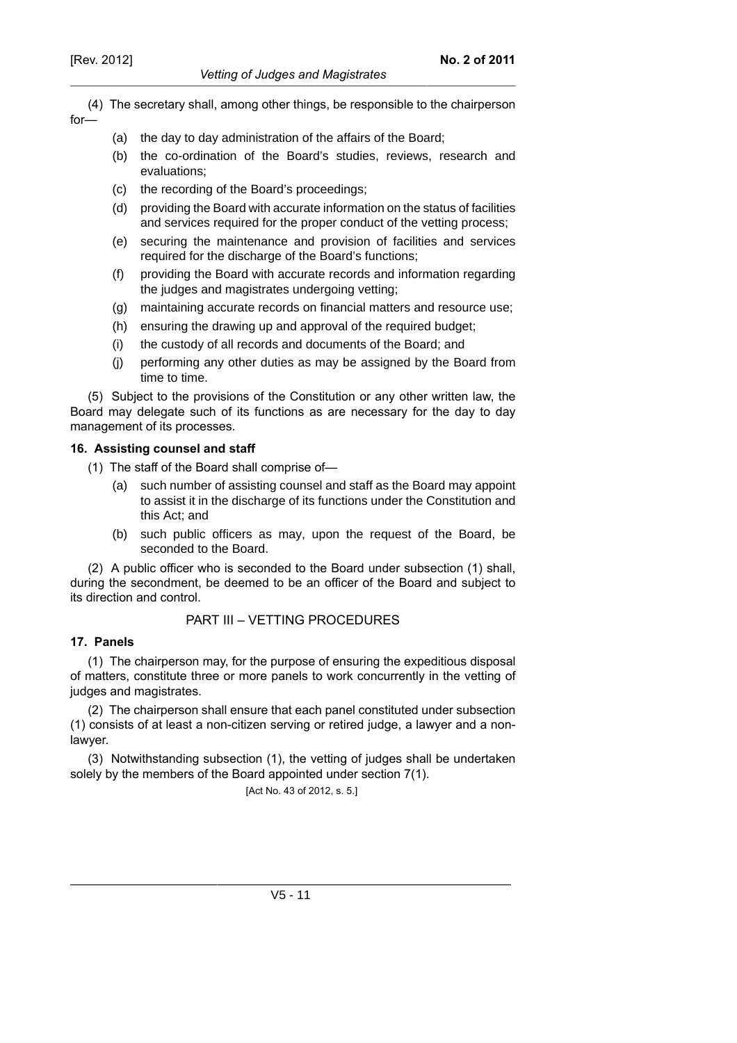for—

#### *Vetting of Judges and Magistrates*

(4) The secretary shall, among other things, be responsible to the chairperson

- (a) the day to day administration of the affairs of the Board;
	- (b) the co-ordination of the Board's studies, reviews, research and evaluations;
	- (c) the recording of the Board's proceedings;
	- (d) providing the Board with accurate information on the status of facilities and services required for the proper conduct of the vetting process;
	- (e) securing the maintenance and provision of facilities and services required for the discharge of the Board's functions;
	- (f) providing the Board with accurate records and information regarding the judges and magistrates undergoing vetting;
	- (g) maintaining accurate records on financial matters and resource use;
	- (h) ensuring the drawing up and approval of the required budget;
	- (i) the custody of all records and documents of the Board; and
	- (j) performing any other duties as may be assigned by the Board from time to time.

(5) Subject to the provisions of the Constitution or any other written law, the Board may delegate such of its functions as are necessary for the day to day management of its processes.

# **16. Assisting counsel and staff**

- (1) The staff of the Board shall comprise of—
	- (a) such number of assisting counsel and staff as the Board may appoint to assist it in the discharge of its functions under the Constitution and this Act; and
	- (b) such public officers as may, upon the request of the Board, be seconded to the Board.

(2) A public officer who is seconded to the Board under subsection (1) shall, during the secondment, be deemed to be an officer of the Board and subject to its direction and control.

# PART III – VETTING PROCEDURES

# **17. Panels**

(1) The chairperson may, for the purpose of ensuring the expeditious disposal of matters, constitute three or more panels to work concurrently in the vetting of judges and magistrates.

(2) The chairperson shall ensure that each panel constituted under subsection (1) consists of at least a non-citizen serving or retired judge, a lawyer and a nonlawyer.

(3) Notwithstanding subsection (1), the vetting of judges shall be undertaken solely by the members of the Board appointed under section 7(1).

[Act No. 43 of 2012, s. 5.]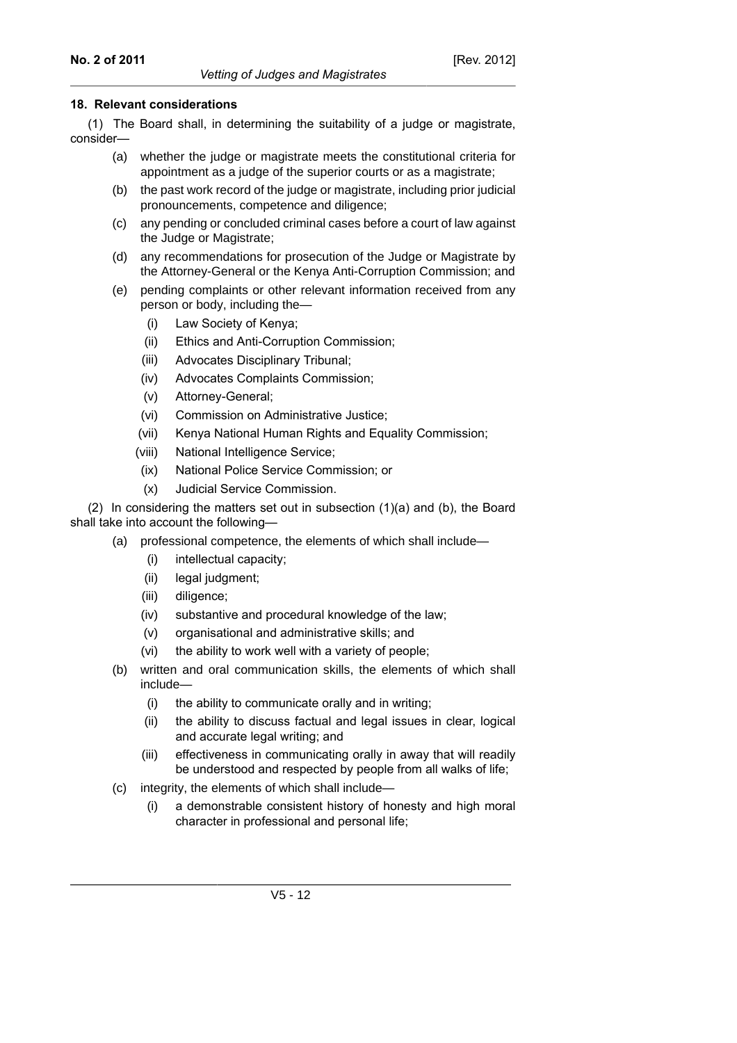## **18. Relevant considerations**

(1) The Board shall, in determining the suitability of a judge or magistrate, consider—

- (a) whether the judge or magistrate meets the constitutional criteria for appointment as a judge of the superior courts or as a magistrate;
- (b) the past work record of the judge or magistrate, including prior judicial pronouncements, competence and diligence;
- (c) any pending or concluded criminal cases before a court of law against the Judge or Magistrate;
- (d) any recommendations for prosecution of the Judge or Magistrate by the Attorney-General or the Kenya Anti-Corruption Commission; and
- (e) pending complaints or other relevant information received from any person or body, including the—
	- (i) Law Society of Kenya;
	- (ii) Ethics and Anti-Corruption Commission;
	- (iii) Advocates Disciplinary Tribunal;
	- (iv) Advocates Complaints Commission;
	- (v) Attorney-General;
	- (vi) Commission on Administrative Justice;
	- (vii) Kenya National Human Rights and Equality Commission;
	- (viii) National Intelligence Service;
	- (ix) National Police Service Commission; or
	- (x) Judicial Service Commission.

(2) In considering the matters set out in subsection (1)(a) and (b), the Board shall take into account the following—

- (a) professional competence, the elements of which shall include—
	- (i) intellectual capacity;
	- (ii) legal judgment;
	- (iii) diligence;
	- (iv) substantive and procedural knowledge of the law;
	- (v) organisational and administrative skills; and
	- (vi) the ability to work well with a variety of people;
- (b) written and oral communication skills, the elements of which shall include—
	- (i) the ability to communicate orally and in writing;
	- (ii) the ability to discuss factual and legal issues in clear, logical and accurate legal writing; and
	- (iii) effectiveness in communicating orally in away that will readily be understood and respected by people from all walks of life;
- (c) integrity, the elements of which shall include—
	- (i) a demonstrable consistent history of honesty and high moral character in professional and personal life;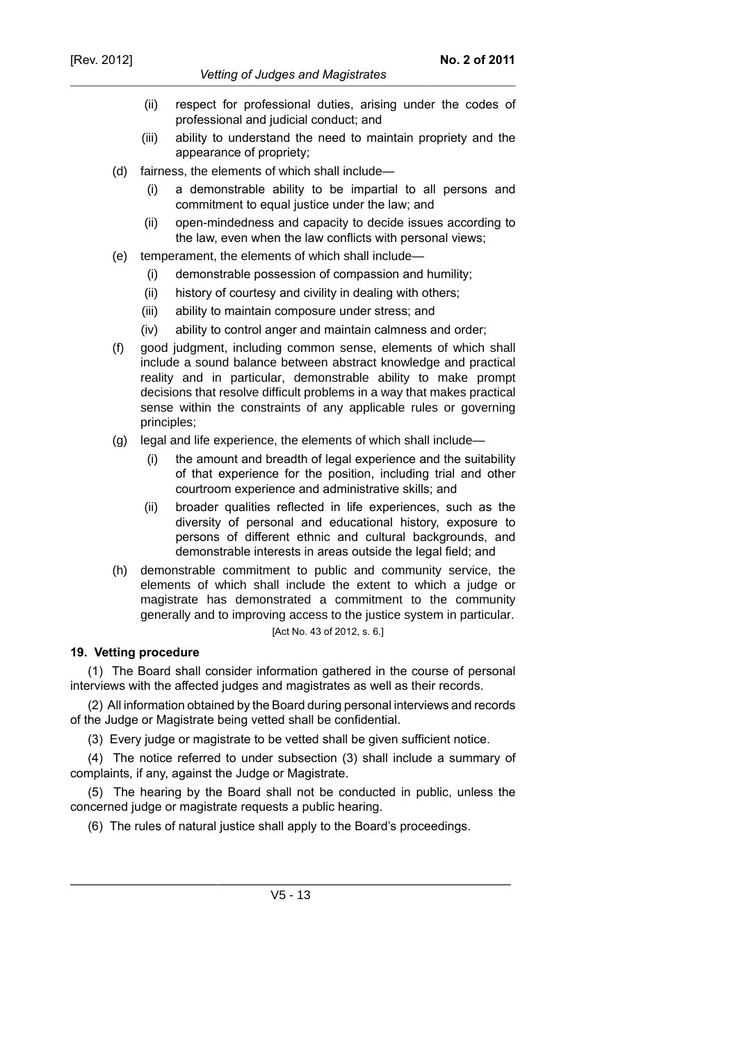#### *Vetting of Judges and Magistrates*

- (ii) respect for professional duties, arising under the codes of professional and judicial conduct; and
- (iii) ability to understand the need to maintain propriety and the appearance of propriety;
- (d) fairness, the elements of which shall include—
	- (i) a demonstrable ability to be impartial to all persons and commitment to equal justice under the law; and
	- (ii) open-mindedness and capacity to decide issues according to the law, even when the law conflicts with personal views;
- (e) temperament, the elements of which shall include—
	- (i) demonstrable possession of compassion and humility;
	- (ii) history of courtesy and civility in dealing with others;
	- (iii) ability to maintain composure under stress; and
	- (iv) ability to control anger and maintain calmness and order;
- (f) good judgment, including common sense, elements of which shall include a sound balance between abstract knowledge and practical reality and in particular, demonstrable ability to make prompt decisions that resolve difficult problems in a way that makes practical sense within the constraints of any applicable rules or governing principles;
- (g) legal and life experience, the elements of which shall include—
	- (i) the amount and breadth of legal experience and the suitability of that experience for the position, including trial and other courtroom experience and administrative skills; and
	- (ii) broader qualities reflected in life experiences, such as the diversity of personal and educational history, exposure to persons of different ethnic and cultural backgrounds, and demonstrable interests in areas outside the legal field; and
- (h) demonstrable commitment to public and community service, the elements of which shall include the extent to which a judge or magistrate has demonstrated a commitment to the community generally and to improving access to the justice system in particular. [Act No. 43 of 2012, s. 6.]

## **19. Vetting procedure**

(1) The Board shall consider information gathered in the course of personal interviews with the affected judges and magistrates as well as their records.

(2) All information obtained by the Board during personal interviews and records of the Judge or Magistrate being vetted shall be confidential.

(3) Every judge or magistrate to be vetted shall be given sufficient notice.

(4) The notice referred to under subsection (3) shall include a summary of complaints, if any, against the Judge or Magistrate.

(5) The hearing by the Board shall not be conducted in public, unless the concerned judge or magistrate requests a public hearing.

(6) The rules of natural justice shall apply to the Board's proceedings.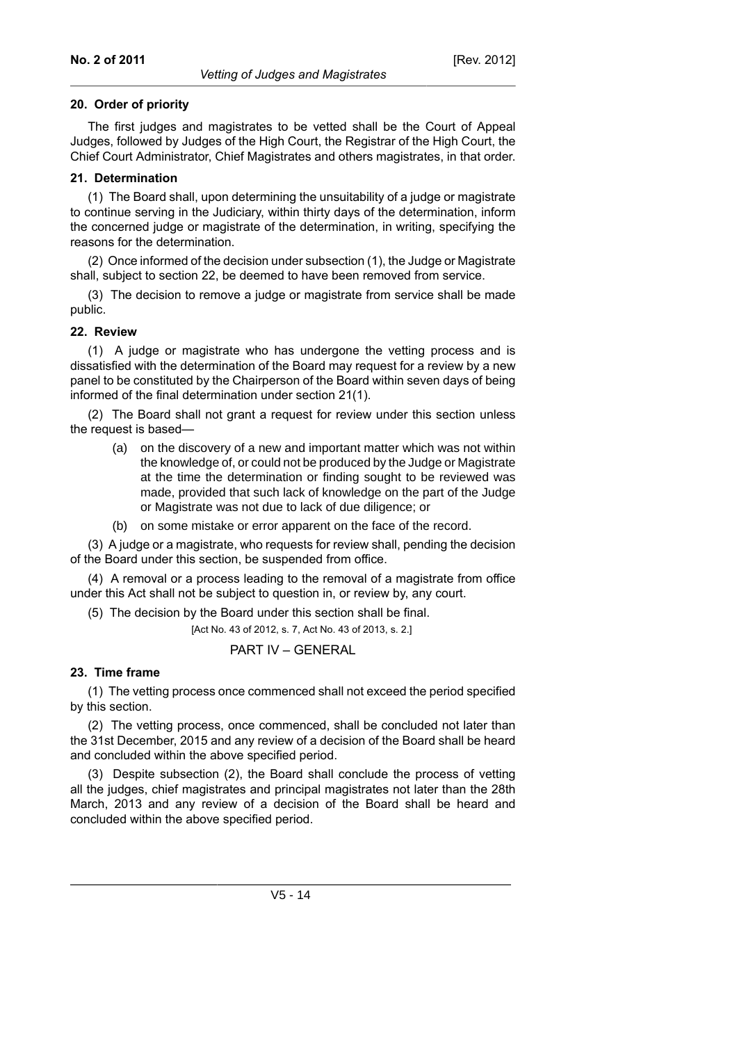## **20. Order of priority**

The first judges and magistrates to be vetted shall be the Court of Appeal Judges, followed by Judges of the High Court, the Registrar of the High Court, the Chief Court Administrator, Chief Magistrates and others magistrates, in that order.

## **21. Determination**

(1) The Board shall, upon determining the unsuitability of a judge or magistrate to continue serving in the Judiciary, within thirty days of the determination, inform the concerned judge or magistrate of the determination, in writing, specifying the reasons for the determination.

(2) Once informed of the decision under subsection (1), the Judge or Magistrate shall, subject to section 22, be deemed to have been removed from service.

(3) The decision to remove a judge or magistrate from service shall be made public.

# **22. Review**

(1) A judge or magistrate who has undergone the vetting process and is dissatisfied with the determination of the Board may request for a review by a new panel to be constituted by the Chairperson of the Board within seven days of being informed of the final determination under section 21(1).

(2) The Board shall not grant a request for review under this section unless the request is based—

- (a) on the discovery of a new and important matter which was not within the knowledge of, or could not be produced by the Judge or Magistrate at the time the determination or finding sought to be reviewed was made, provided that such lack of knowledge on the part of the Judge or Magistrate was not due to lack of due diligence; or
- (b) on some mistake or error apparent on the face of the record.

(3) A judge or a magistrate, who requests for review shall, pending the decision of the Board under this section, be suspended from office.

(4) A removal or a process leading to the removal of a magistrate from office under this Act shall not be subject to question in, or review by, any court.

(5) The decision by the Board under this section shall be final.

[Act No. 43 of 2012, s. 7, Act No. 43 of 2013, s. 2.]

PART IV – GENERAL

# **23. Time frame**

(1) The vetting process once commenced shall not exceed the period specified by this section.

(2) The vetting process, once commenced, shall be concluded not later than the 31st December, 2015 and any review of a decision of the Board shall be heard and concluded within the above specified period.

(3) Despite subsection (2), the Board shall conclude the process of vetting all the judges, chief magistrates and principal magistrates not later than the 28th March, 2013 and any review of a decision of the Board shall be heard and concluded within the above specified period.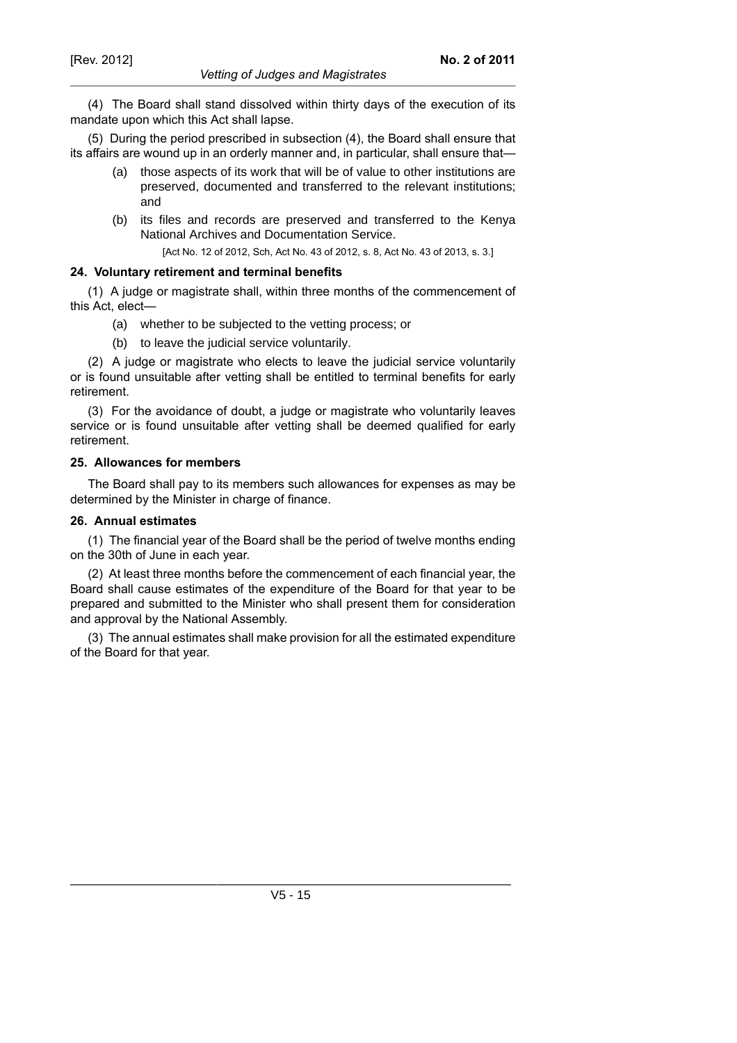(5) During the period prescribed in subsection (4), the Board shall ensure that its affairs are wound up in an orderly manner and, in particular, shall ensure that—

(a) those aspects of its work that will be of value to other institutions are preserved, documented and transferred to the relevant institutions; and

**No. 2 of 2011**

(b) its files and records are preserved and transferred to the Kenya National Archives and Documentation Service.

[Act No. 12 of 2012, Sch, Act No. 43 of 2012, s. 8, Act No. 43 of 2013, s. 3.]

## **24. Voluntary retirement and terminal benefits**

(1) A judge or magistrate shall, within three months of the commencement of this Act, elect—

- (a) whether to be subjected to the vetting process; or
- (b) to leave the judicial service voluntarily.

(2) A judge or magistrate who elects to leave the judicial service voluntarily or is found unsuitable after vetting shall be entitled to terminal benefits for early retirement.

(3) For the avoidance of doubt, a judge or magistrate who voluntarily leaves service or is found unsuitable after vetting shall be deemed qualified for early retirement.

#### **25. Allowances for members**

The Board shall pay to its members such allowances for expenses as may be determined by the Minister in charge of finance.

#### **26. Annual estimates**

(1) The financial year of the Board shall be the period of twelve months ending on the 30th of June in each year.

(2) At least three months before the commencement of each financial year, the Board shall cause estimates of the expenditure of the Board for that year to be prepared and submitted to the Minister who shall present them for consideration and approval by the National Assembly.

(3) The annual estimates shall make provision for all the estimated expenditure of the Board for that year.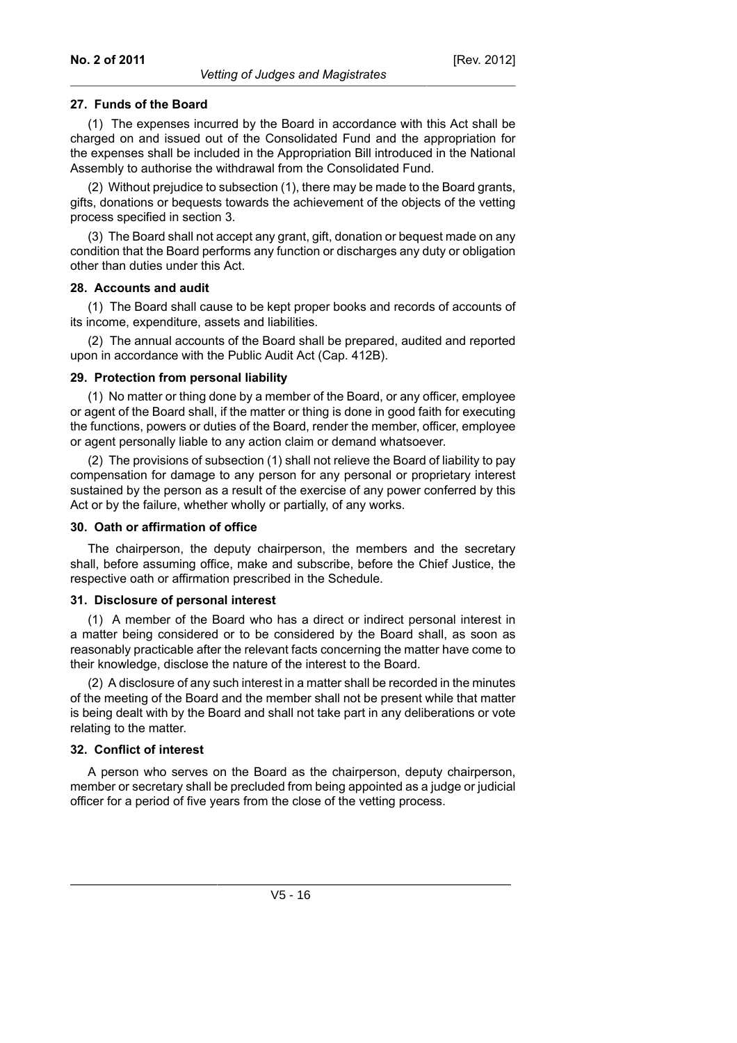#### **27. Funds of the Board**

(1) The expenses incurred by the Board in accordance with this Act shall be charged on and issued out of the Consolidated Fund and the appropriation for the expenses shall be included in the Appropriation Bill introduced in the National Assembly to authorise the withdrawal from the Consolidated Fund.

(2) Without prejudice to subsection (1), there may be made to the Board grants, gifts, donations or bequests towards the achievement of the objects of the vetting process specified in section 3.

(3) The Board shall not accept any grant, gift, donation or bequest made on any condition that the Board performs any function or discharges any duty or obligation other than duties under this Act.

#### **28. Accounts and audit**

(1) The Board shall cause to be kept proper books and records of accounts of its income, expenditure, assets and liabilities.

(2) The annual accounts of the Board shall be prepared, audited and reported upon in accordance with the Public Audit Act (Cap. 412B).

#### **29. Protection from personal liability**

(1) No matter or thing done by a member of the Board, or any officer, employee or agent of the Board shall, if the matter or thing is done in good faith for executing the functions, powers or duties of the Board, render the member, officer, employee or agent personally liable to any action claim or demand whatsoever.

(2) The provisions of subsection (1) shall not relieve the Board of liability to pay compensation for damage to any person for any personal or proprietary interest sustained by the person as a result of the exercise of any power conferred by this Act or by the failure, whether wholly or partially, of any works.

#### **30. Oath or affirmation of office**

The chairperson, the deputy chairperson, the members and the secretary shall, before assuming office, make and subscribe, before the Chief Justice, the respective oath or affirmation prescribed in the Schedule.

#### **31. Disclosure of personal interest**

(1) A member of the Board who has a direct or indirect personal interest in a matter being considered or to be considered by the Board shall, as soon as reasonably practicable after the relevant facts concerning the matter have come to their knowledge, disclose the nature of the interest to the Board.

(2) A disclosure of any such interest in a matter shall be recorded in the minutes of the meeting of the Board and the member shall not be present while that matter is being dealt with by the Board and shall not take part in any deliberations or vote relating to the matter.

#### **32. Conflict of interest**

A person who serves on the Board as the chairperson, deputy chairperson, member or secretary shall be precluded from being appointed as a judge or judicial officer for a period of five years from the close of the vetting process.